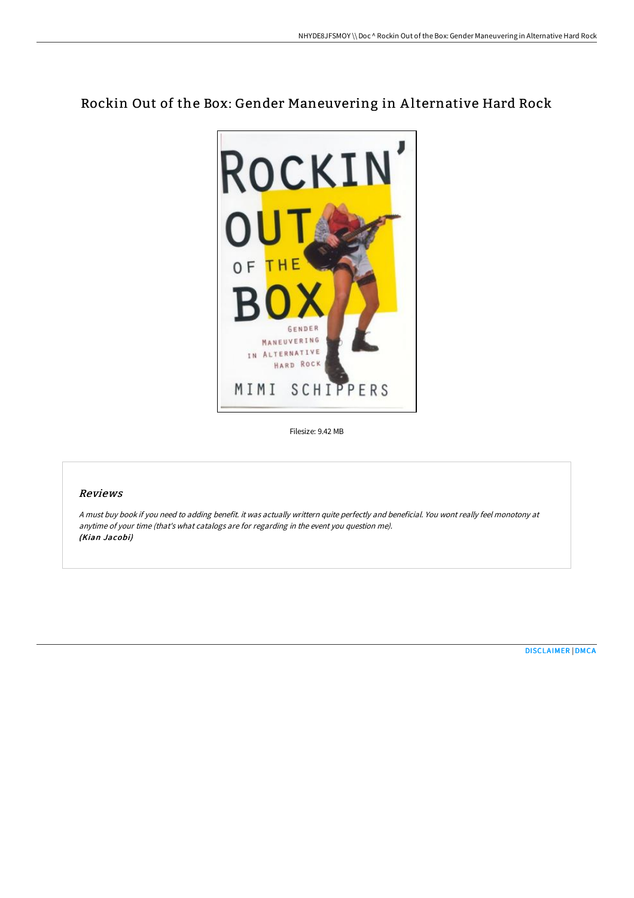# Rockin Out of the Box: Gender Maneuvering in A lternative Hard Rock



Filesize: 9.42 MB

## Reviews

<sup>A</sup> must buy book if you need to adding benefit. it was actually writtern quite perfectly and beneficial. You wont really feel monotony at anytime of your time (that's what catalogs are for regarding in the event you question me). (Kian Jacobi)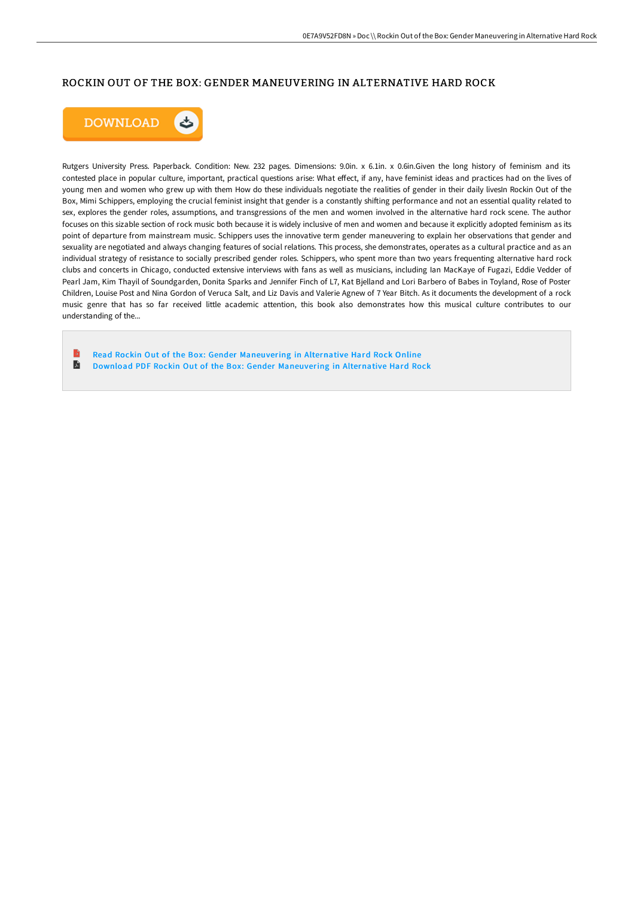#### ROCKIN OUT OF THE BOX: GENDER MANEUVERING IN ALTERNATIVE HARD ROCK



Rutgers University Press. Paperback. Condition: New. 232 pages. Dimensions: 9.0in. x 6.1in. x 0.6in.Given the long history of feminism and its contested place in popular culture, important, practical questions arise: What effect, if any, have feminist ideas and practices had on the lives of young men and women who grew up with them How do these individuals negotiate the realities of gender in their daily livesIn Rockin Out of the Box, Mimi Schippers, employing the crucial feminist insight that gender is a constantly shiFing performance and not an essential quality related to sex, explores the gender roles, assumptions, and transgressions of the men and women involved in the alternative hard rock scene. The author focuses on this sizable section of rock music both because it is widely inclusive of men and women and because it explicitly adopted feminism as its point of departure from mainstream music. Schippers uses the innovative term gender maneuvering to explain her observations that gender and sexuality are negotiated and always changing features of social relations. This process, she demonstrates, operates as a cultural practice and as an individual strategy of resistance to socially prescribed gender roles. Schippers, who spent more than two years frequenting alternative hard rock clubs and concerts in Chicago, conducted extensive interviews with fans as well as musicians, including Ian MacKaye of Fugazi, Eddie Vedder of Pearl Jam, Kim Thayil of Soundgarden, Donita Sparks and Jennifer Finch of L7, Kat Bjelland and Lori Barbero of Babes in Toyland, Rose of Poster Children, Louise Post and Nina Gordon of Veruca Salt, and Liz Davis and Valerie Agnew of 7 Year Bitch. As it documents the development of a rock music genre that has so far received little academic attention, this book also demonstrates how this musical culture contributes to our understanding of the...

Read Rockin Out of the Box: Gender [Maneuvering](http://techno-pub.tech/rockin-out-of-the-box-gender-maneuvering-in-alte.html) in Alternative Hard Rock Online E Download PDF Rockin Out of the Box: Gender [Maneuvering](http://techno-pub.tech/rockin-out-of-the-box-gender-maneuvering-in-alte.html) in Alternative Hard Rock